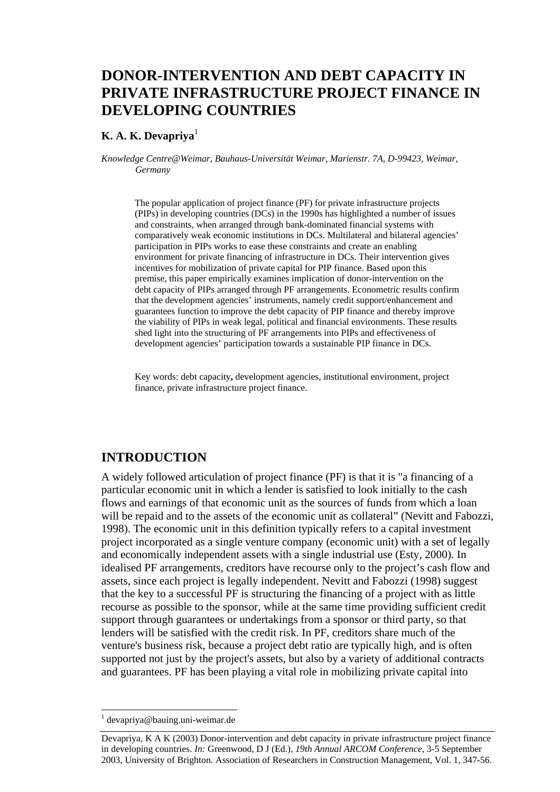# **DONOR-INTERVENTION AND DEBT CAPACITY IN PRIVATE INFRASTRUCTURE PROJECT FINANCE IN DEVELOPING COUNTRIES**

### **K. A. K. Devapriya**<sup>1</sup>

*Knowledge Centre@Weimar, Bauhaus-Universität Weimar, Marienstr. 7A, D-99423, Weimar, Germany* 

The popular application of project finance (PF) for private infrastructure projects (PIPs) in developing countries (DCs) in the 1990s has highlighted a number of issues and constraints, when arranged through bank-dominated financial systems with comparatively weak economic institutions in DCs. Multilateral and bilateral agencies' participation in PIPs works to ease these constraints and create an enabling environment for private financing of infrastructure in DCs. Their intervention gives incentives for mobilization of private capital for PIP finance. Based upon this premise, this paper empirically examines implication of donor-intervention on the debt capacity of PIPs arranged through PF arrangements. Econometric results confirm that the development agencies' instruments, namely credit support/enhancement and guarantees function to improve the debt capacity of PIP finance and thereby improve the viability of PIPs in weak legal, political and financial environments. These results shed light into the structuring of PF arrangements into PIPs and effectiveness of development agencies' participation towards a sustainable PIP finance in DCs.

Key words: debt capacity**,** development agencies, institutional environment, project finance, private infrastructure project finance.

## **INTRODUCTION**

A widely followed articulation of project finance (PF) is that it is "a financing of a particular economic unit in which a lender is satisfied to look initially to the cash flows and earnings of that economic unit as the sources of funds from which a loan will be repaid and to the assets of the economic unit as collateral" (Nevitt and Fabozzi, 1998). The economic unit in this definition typically refers to a capital investment project incorporated as a single venture company (economic unit) with a set of legally and economically independent assets with a single industrial use (Esty, 2000). In idealised PF arrangements, creditors have recourse only to the project's cash flow and assets, since each project is legally independent. Nevitt and Fabozzi (1998) suggest that the key to a successful PF is structuring the financing of a project with as little recourse as possible to the sponsor, while at the same time providing sufficient credit support through guarantees or undertakings from a sponsor or third party, so that lenders will be satisfied with the credit risk. In PF, creditors share much of the venture's business risk, because a project debt ratio are typically high, and is often supported not just by the project's assets, but also by a variety of additional contracts and guarantees. PF has been playing a vital role in mobilizing private capital into

 1 devapriya@bauing.uni-weimar.de

Devapriya, K A K (2003) Donor-intervention and debt capacity in private infrastructure project finance in developing countries. *In:* Greenwood, D J (Ed.), *19th Annual ARCOM Conference*, 3-5 September 2003, University of Brighton. Association of Researchers in Construction Management, Vol. 1, 347-56.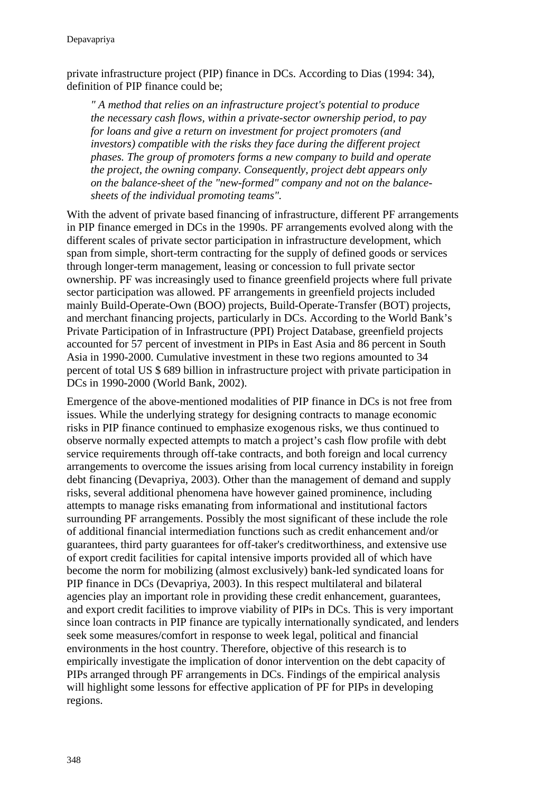private infrastructure project (PIP) finance in DCs. According to Dias (1994: 34), definition of PIP finance could be;

*" A method that relies on an infrastructure project's potential to produce the necessary cash flows, within a private-sector ownership period, to pay for loans and give a return on investment for project promoters (and investors) compatible with the risks they face during the different project phases. The group of promoters forms a new company to build and operate the project, the owning company. Consequently, project debt appears only on the balance-sheet of the "new-formed" company and not on the balancesheets of the individual promoting teams".* 

With the advent of private based financing of infrastructure, different PF arrangements in PIP finance emerged in DCs in the 1990s. PF arrangements evolved along with the different scales of private sector participation in infrastructure development, which span from simple, short-term contracting for the supply of defined goods or services through longer-term management, leasing or concession to full private sector ownership. PF was increasingly used to finance greenfield projects where full private sector participation was allowed. PF arrangements in greenfield projects included mainly Build-Operate-Own (BOO) projects, Build-Operate-Transfer (BOT) projects, and merchant financing projects, particularly in DCs. According to the World Bank's Private Participation of in Infrastructure (PPI) Project Database, greenfield projects accounted for 57 percent of investment in PIPs in East Asia and 86 percent in South Asia in 1990-2000. Cumulative investment in these two regions amounted to 34 percent of total US \$ 689 billion in infrastructure project with private participation in DCs in 1990-2000 (World Bank, 2002).

Emergence of the above-mentioned modalities of PIP finance in DCs is not free from issues. While the underlying strategy for designing contracts to manage economic risks in PIP finance continued to emphasize exogenous risks, we thus continued to observe normally expected attempts to match a project's cash flow profile with debt service requirements through off-take contracts, and both foreign and local currency arrangements to overcome the issues arising from local currency instability in foreign debt financing (Devapriya, 2003). Other than the management of demand and supply risks, several additional phenomena have however gained prominence, including attempts to manage risks emanating from informational and institutional factors surrounding PF arrangements. Possibly the most significant of these include the role of additional financial intermediation functions such as credit enhancement and/or guarantees, third party guarantees for off-taker's creditworthiness, and extensive use of export credit facilities for capital intensive imports provided all of which have become the norm for mobilizing (almost exclusively) bank-led syndicated loans for PIP finance in DCs (Devapriya, 2003). In this respect multilateral and bilateral agencies play an important role in providing these credit enhancement, guarantees, and export credit facilities to improve viability of PIPs in DCs. This is very important since loan contracts in PIP finance are typically internationally syndicated, and lenders seek some measures/comfort in response to week legal, political and financial environments in the host country. Therefore, objective of this research is to empirically investigate the implication of donor intervention on the debt capacity of PIPs arranged through PF arrangements in DCs. Findings of the empirical analysis will highlight some lessons for effective application of PF for PIPs in developing regions.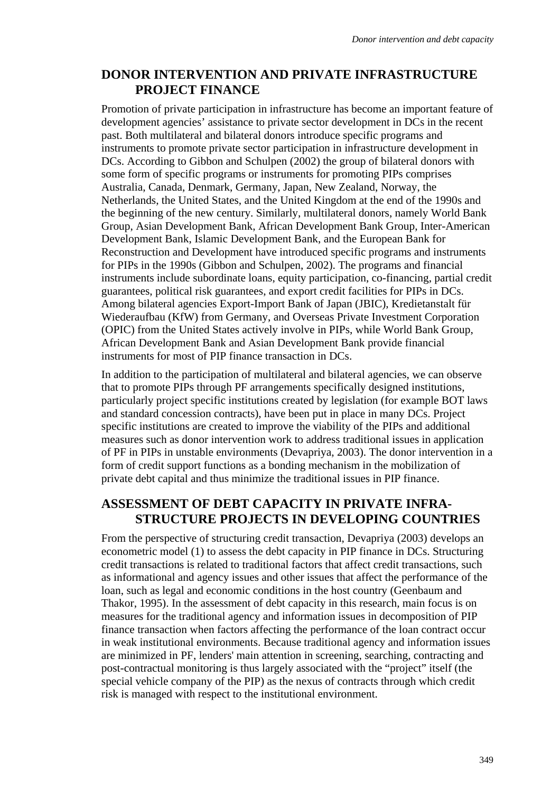## **DONOR INTERVENTION AND PRIVATE INFRASTRUCTURE PROJECT FINANCE**

Promotion of private participation in infrastructure has become an important feature of development agencies' assistance to private sector development in DCs in the recent past. Both multilateral and bilateral donors introduce specific programs and instruments to promote private sector participation in infrastructure development in DCs. According to Gibbon and Schulpen (2002) the group of bilateral donors with some form of specific programs or instruments for promoting PIPs comprises Australia, Canada, Denmark, Germany, Japan, New Zealand, Norway, the Netherlands, the United States, and the United Kingdom at the end of the 1990s and the beginning of the new century. Similarly, multilateral donors, namely World Bank Group, Asian Development Bank, African Development Bank Group, Inter-American Development Bank, Islamic Development Bank, and the European Bank for Reconstruction and Development have introduced specific programs and instruments for PIPs in the 1990s (Gibbon and Schulpen, 2002). The programs and financial instruments include subordinate loans, equity participation, co-financing, partial credit guarantees, political risk guarantees, and export credit facilities for PIPs in DCs. Among bilateral agencies Export-Import Bank of Japan (JBIC), Kredietanstalt für Wiederaufbau (KfW) from Germany, and Overseas Private Investment Corporation (OPIC) from the United States actively involve in PIPs, while World Bank Group, African Development Bank and Asian Development Bank provide financial instruments for most of PIP finance transaction in DCs.

In addition to the participation of multilateral and bilateral agencies, we can observe that to promote PIPs through PF arrangements specifically designed institutions, particularly project specific institutions created by legislation (for example BOT laws and standard concession contracts), have been put in place in many DCs. Project specific institutions are created to improve the viability of the PIPs and additional measures such as donor intervention work to address traditional issues in application of PF in PIPs in unstable environments (Devapriya, 2003). The donor intervention in a form of credit support functions as a bonding mechanism in the mobilization of private debt capital and thus minimize the traditional issues in PIP finance.

## **ASSESSMENT OF DEBT CAPACITY IN PRIVATE INFRA-STRUCTURE PROJECTS IN DEVELOPING COUNTRIES**

From the perspective of structuring credit transaction, Devapriya (2003) develops an econometric model (1) to assess the debt capacity in PIP finance in DCs. Structuring credit transactions is related to traditional factors that affect credit transactions, such as informational and agency issues and other issues that affect the performance of the loan, such as legal and economic conditions in the host country (Geenbaum and Thakor, 1995). In the assessment of debt capacity in this research, main focus is on measures for the traditional agency and information issues in decomposition of PIP finance transaction when factors affecting the performance of the loan contract occur in weak institutional environments. Because traditional agency and information issues are minimized in PF, lenders' main attention in screening, searching, contracting and post-contractual monitoring is thus largely associated with the "project" itself (the special vehicle company of the PIP) as the nexus of contracts through which credit risk is managed with respect to the institutional environment.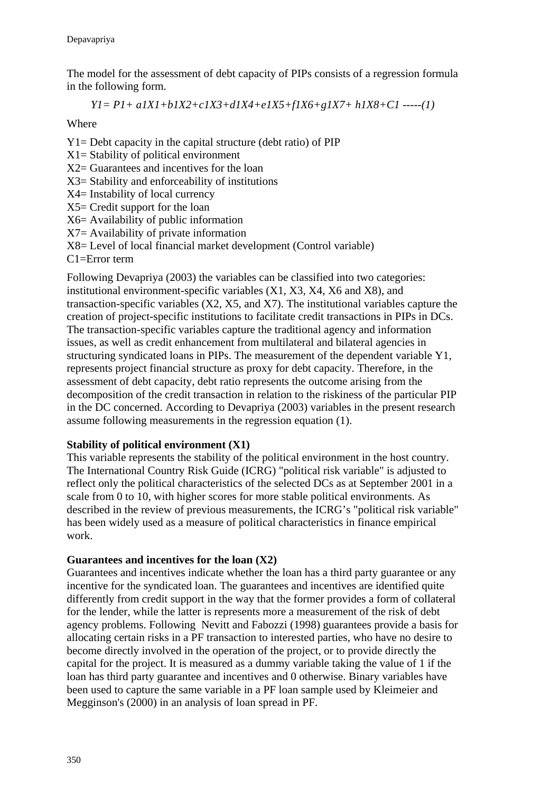The model for the assessment of debt capacity of PIPs consists of a regression formula in the following form.

$$
YI = PI + aIXI + bIX2 + cIX3 + dIX4 + eIX5 + fIX6 + gIX7 + hIX8 + C1
$$
 ----(1)

Where

Y1= Debt capacity in the capital structure (debt ratio) of PIP X1= Stability of political environment X2= Guarantees and incentives for the loan X3= Stability and enforceability of institutions X4= Instability of local currency X5= Credit support for the loan X6= Availability of public information X7= Availability of private information X8= Level of local financial market development (Control variable) C1=Error term

Following Devapriya (2003) the variables can be classified into two categories: institutional environment-specific variables (X1, X3, X4, X6 and X8), and transaction-specific variables (X2, X5, and X7). The institutional variables capture the creation of project-specific institutions to facilitate credit transactions in PIPs in DCs. The transaction-specific variables capture the traditional agency and information issues, as well as credit enhancement from multilateral and bilateral agencies in structuring syndicated loans in PIPs. The measurement of the dependent variable Y1, represents project financial structure as proxy for debt capacity. Therefore, in the assessment of debt capacity, debt ratio represents the outcome arising from the decomposition of the credit transaction in relation to the riskiness of the particular PIP in the DC concerned. According to Devapriya (2003) variables in the present research assume following measurements in the regression equation (1).

#### **Stability of political environment (X1)**

This variable represents the stability of the political environment in the host country. The International Country Risk Guide (ICRG) "political risk variable" is adjusted to reflect only the political characteristics of the selected DCs as at September 2001 in a scale from 0 to 10, with higher scores for more stable political environments. As described in the review of previous measurements, the ICRG's "political risk variable" has been widely used as a measure of political characteristics in finance empirical work.

#### **Guarantees and incentives for the loan (X2)**

Guarantees and incentives indicate whether the loan has a third party guarantee or any incentive for the syndicated loan. The guarantees and incentives are identified quite differently from credit support in the way that the former provides a form of collateral for the lender, while the latter is represents more a measurement of the risk of debt agency problems. Following Nevitt and Fabozzi (1998) guarantees provide a basis for allocating certain risks in a PF transaction to interested parties, who have no desire to become directly involved in the operation of the project, or to provide directly the capital for the project. It is measured as a dummy variable taking the value of 1 if the loan has third party guarantee and incentives and 0 otherwise. Binary variables have been used to capture the same variable in a PF loan sample used by Kleimeier and Megginson's (2000) in an analysis of loan spread in PF.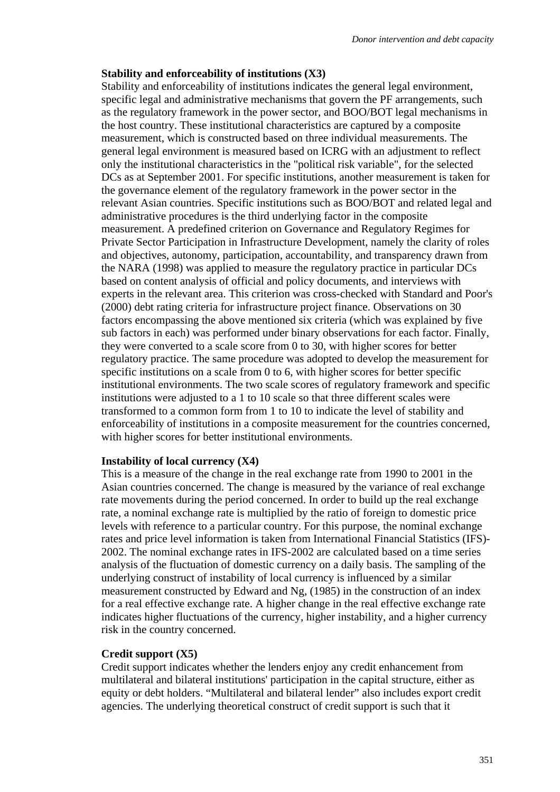#### **Stability and enforceability of institutions (X3)**

Stability and enforceability of institutions indicates the general legal environment, specific legal and administrative mechanisms that govern the PF arrangements, such as the regulatory framework in the power sector, and BOO/BOT legal mechanisms in the host country. These institutional characteristics are captured by a composite measurement, which is constructed based on three individual measurements. The general legal environment is measured based on ICRG with an adjustment to reflect only the institutional characteristics in the "political risk variable", for the selected DCs as at September 2001. For specific institutions, another measurement is taken for the governance element of the regulatory framework in the power sector in the relevant Asian countries. Specific institutions such as BOO/BOT and related legal and administrative procedures is the third underlying factor in the composite measurement. A predefined criterion on Governance and Regulatory Regimes for Private Sector Participation in Infrastructure Development, namely the clarity of roles and objectives, autonomy, participation, accountability, and transparency drawn from the NARA (1998) was applied to measure the regulatory practice in particular DCs based on content analysis of official and policy documents, and interviews with experts in the relevant area. This criterion was cross-checked with Standard and Poor's (2000) debt rating criteria for infrastructure project finance. Observations on 30 factors encompassing the above mentioned six criteria (which was explained by five sub factors in each) was performed under binary observations for each factor. Finally, they were converted to a scale score from 0 to 30, with higher scores for better regulatory practice. The same procedure was adopted to develop the measurement for specific institutions on a scale from 0 to 6, with higher scores for better specific institutional environments. The two scale scores of regulatory framework and specific institutions were adjusted to a 1 to 10 scale so that three different scales were transformed to a common form from 1 to 10 to indicate the level of stability and enforceability of institutions in a composite measurement for the countries concerned, with higher scores for better institutional environments.

#### **Instability of local currency (X4)**

This is a measure of the change in the real exchange rate from 1990 to 2001 in the Asian countries concerned. The change is measured by the variance of real exchange rate movements during the period concerned. In order to build up the real exchange rate, a nominal exchange rate is multiplied by the ratio of foreign to domestic price levels with reference to a particular country. For this purpose, the nominal exchange rates and price level information is taken from International Financial Statistics (IFS)- 2002. The nominal exchange rates in IFS-2002 are calculated based on a time series analysis of the fluctuation of domestic currency on a daily basis. The sampling of the underlying construct of instability of local currency is influenced by a similar measurement constructed by Edward and Ng, (1985) in the construction of an index for a real effective exchange rate. A higher change in the real effective exchange rate indicates higher fluctuations of the currency, higher instability, and a higher currency risk in the country concerned.

#### **Credit support (X5)**

Credit support indicates whether the lenders enjoy any credit enhancement from multilateral and bilateral institutions' participation in the capital structure, either as equity or debt holders. "Multilateral and bilateral lender" also includes export credit agencies. The underlying theoretical construct of credit support is such that it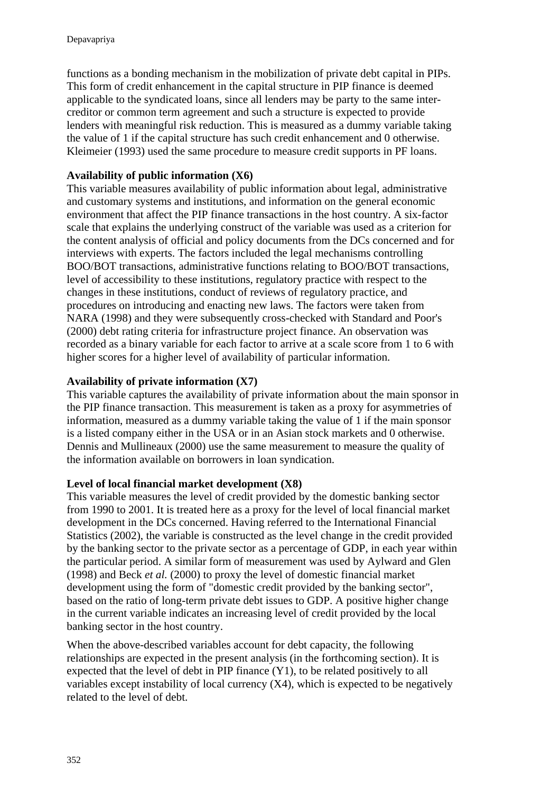functions as a bonding mechanism in the mobilization of private debt capital in PIPs. This form of credit enhancement in the capital structure in PIP finance is deemed applicable to the syndicated loans, since all lenders may be party to the same intercreditor or common term agreement and such a structure is expected to provide lenders with meaningful risk reduction. This is measured as a dummy variable taking the value of 1 if the capital structure has such credit enhancement and 0 otherwise. Kleimeier (1993) used the same procedure to measure credit supports in PF loans.

## **Availability of public information (X6)**

This variable measures availability of public information about legal, administrative and customary systems and institutions, and information on the general economic environment that affect the PIP finance transactions in the host country. A six-factor scale that explains the underlying construct of the variable was used as a criterion for the content analysis of official and policy documents from the DCs concerned and for interviews with experts. The factors included the legal mechanisms controlling BOO/BOT transactions, administrative functions relating to BOO/BOT transactions, level of accessibility to these institutions, regulatory practice with respect to the changes in these institutions, conduct of reviews of regulatory practice, and procedures on introducing and enacting new laws. The factors were taken from NARA (1998) and they were subsequently cross-checked with Standard and Poor's (2000) debt rating criteria for infrastructure project finance. An observation was recorded as a binary variable for each factor to arrive at a scale score from 1 to 6 with higher scores for a higher level of availability of particular information.

### **Availability of private information (X7)**

This variable captures the availability of private information about the main sponsor in the PIP finance transaction. This measurement is taken as a proxy for asymmetries of information, measured as a dummy variable taking the value of 1 if the main sponsor is a listed company either in the USA or in an Asian stock markets and 0 otherwise. Dennis and Mullineaux (2000) use the same measurement to measure the quality of the information available on borrowers in loan syndication.

## **Level of local financial market development (X8)**

This variable measures the level of credit provided by the domestic banking sector from 1990 to 2001. It is treated here as a proxy for the level of local financial market development in the DCs concerned. Having referred to the International Financial Statistics (2002), the variable is constructed as the level change in the credit provided by the banking sector to the private sector as a percentage of GDP, in each year within the particular period. A similar form of measurement was used by Aylward and Glen (1998) and Beck *et al.* (2000) to proxy the level of domestic financial market development using the form of "domestic credit provided by the banking sector", based on the ratio of long-term private debt issues to GDP. A positive higher change in the current variable indicates an increasing level of credit provided by the local banking sector in the host country.

When the above-described variables account for debt capacity, the following relationships are expected in the present analysis (in the forthcoming section). It is expected that the level of debt in PIP finance (Y1), to be related positively to all variables except instability of local currency (X4), which is expected to be negatively related to the level of debt.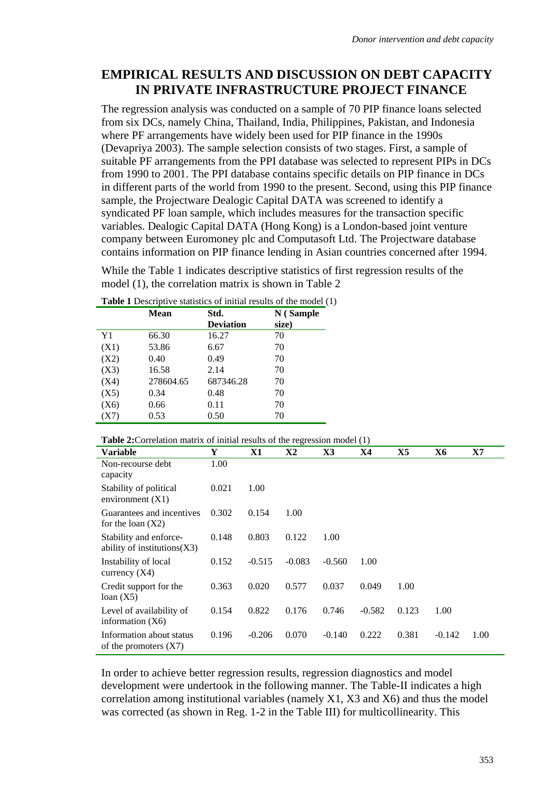## **EMPIRICAL RESULTS AND DISCUSSION ON DEBT CAPACITY IN PRIVATE INFRASTRUCTURE PROJECT FINANCE**

The regression analysis was conducted on a sample of 70 PIP finance loans selected from six DCs, namely China, Thailand, India, Philippines, Pakistan, and Indonesia where PF arrangements have widely been used for PIP finance in the 1990s (Devapriya 2003). The sample selection consists of two stages. First, a sample of suitable PF arrangements from the PPI database was selected to represent PIPs in DCs from 1990 to 2001. The PPI database contains specific details on PIP finance in DCs in different parts of the world from 1990 to the present. Second, using this PIP finance sample, the Projectware Dealogic Capital DATA was screened to identify a syndicated PF loan sample, which includes measures for the transaction specific variables. Dealogic Capital DATA (Hong Kong) is a London-based joint venture company between Euromoney plc and Computasoft Ltd. The Projectware database contains information on PIP finance lending in Asian countries concerned after 1994.

While the Table 1 indicates descriptive statistics of first regression results of the model (1), the correlation matrix is shown in Table 2

|      | <b>Mean</b> | Std.<br><b>Deviation</b> | N (Sample<br>size) |
|------|-------------|--------------------------|--------------------|
| Y1   | 66.30       | 16.27                    | 70                 |
| (X1) | 53.86       | 6.67                     | 70                 |
| (X2) | 0.40        | 0.49                     | 70                 |
| (X3) | 16.58       | 2.14                     | 70                 |
| (X4) | 278604.65   | 687346.28                | 70                 |
| (X5) | 0.34        | 0.48                     | 70                 |
| (X6) | 0.66        | 0.11                     | 70                 |
| X7   | 0.53        | 0.50                     | 70                 |

| <b>Table 1</b> Descriptive statistics of initial results of the model (1) |  |  |  |
|---------------------------------------------------------------------------|--|--|--|
|                                                                           |  |  |  |

| <b>Table 2:</b> Correlation matrix of initial results of the regression model (1) |       |          |          |          |          |       |          |      |
|-----------------------------------------------------------------------------------|-------|----------|----------|----------|----------|-------|----------|------|
| <b>Variable</b>                                                                   | Y     | X1       | X2       | X3       | X4       | X5    | Х6       | X7   |
| Non-recourse debt<br>capacity                                                     | 1.00  |          |          |          |          |       |          |      |
| Stability of political<br>environment $(X1)$                                      | 0.021 | 1.00     |          |          |          |       |          |      |
| Guarantees and incentives<br>for the loan $(X2)$                                  | 0.302 | 0.154    | 1.00     |          |          |       |          |      |
| Stability and enforce-<br>ability of institutions $(X3)$                          | 0.148 | 0.803    | 0.122    | 1.00     |          |       |          |      |
| Instability of local<br>currency $(X4)$                                           | 0.152 | $-0.515$ | $-0.083$ | $-0.560$ | 1.00     |       |          |      |
| Credit support for the<br>loan(X5)                                                | 0.363 | 0.020    | 0.577    | 0.037    | 0.049    | 1.00  |          |      |
| Level of availability of<br>information $(X6)$                                    | 0.154 | 0.822    | 0.176    | 0.746    | $-0.582$ | 0.123 | 1.00     |      |
| Information about status<br>of the promoters $(X7)$                               | 0.196 | $-0.206$ | 0.070    | $-0.140$ | 0.222    | 0.381 | $-0.142$ | 1.00 |

In order to achieve better regression results, regression diagnostics and model development were undertook in the following manner. The Table-II indicates a high correlation among institutional variables (namely X1, X3 and X6) and thus the model was corrected (as shown in Reg. 1-2 in the Table III) for multicollinearity. This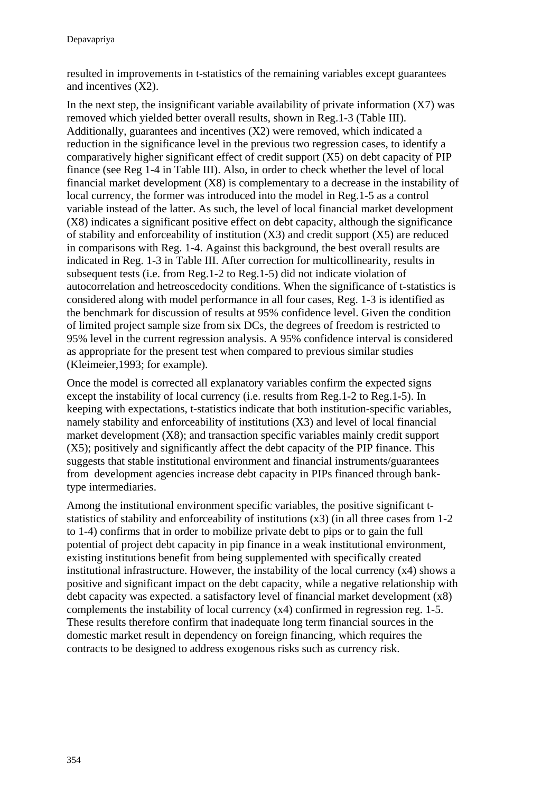resulted in improvements in t-statistics of the remaining variables except guarantees and incentives (X2).

In the next step, the insignificant variable availability of private information  $(X7)$  was removed which yielded better overall results, shown in Reg.1-3 (Table III). Additionally, guarantees and incentives (X2) were removed, which indicated a reduction in the significance level in the previous two regression cases, to identify a comparatively higher significant effect of credit support (X5) on debt capacity of PIP finance (see Reg 1-4 in Table III). Also, in order to check whether the level of local financial market development (X8) is complementary to a decrease in the instability of local currency, the former was introduced into the model in Reg.1-5 as a control variable instead of the latter. As such, the level of local financial market development (X8) indicates a significant positive effect on debt capacity, although the significance of stability and enforceability of institution  $(X3)$  and credit support  $(X5)$  are reduced in comparisons with Reg. 1-4. Against this background, the best overall results are indicated in Reg. 1-3 in Table III. After correction for multicollinearity, results in subsequent tests (i.e. from Reg.1-2 to Reg.1-5) did not indicate violation of autocorrelation and hetreoscedocity conditions. When the significance of t-statistics is considered along with model performance in all four cases, Reg. 1-3 is identified as the benchmark for discussion of results at 95% confidence level. Given the condition of limited project sample size from six DCs, the degrees of freedom is restricted to 95% level in the current regression analysis. A 95% confidence interval is considered as appropriate for the present test when compared to previous similar studies (Kleimeier,1993; for example).

Once the model is corrected all explanatory variables confirm the expected signs except the instability of local currency (i.e. results from Reg.1-2 to Reg.1-5). In keeping with expectations, t-statistics indicate that both institution-specific variables, namely stability and enforceability of institutions (X3) and level of local financial market development (X8); and transaction specific variables mainly credit support (X5); positively and significantly affect the debt capacity of the PIP finance. This suggests that stable institutional environment and financial instruments/guarantees from development agencies increase debt capacity in PIPs financed through banktype intermediaries.

Among the institutional environment specific variables, the positive significant tstatistics of stability and enforceability of institutions (x3) (in all three cases from 1-2 to 1-4) confirms that in order to mobilize private debt to pips or to gain the full potential of project debt capacity in pip finance in a weak institutional environment, existing institutions benefit from being supplemented with specifically created institutional infrastructure. However, the instability of the local currency (x4) shows a positive and significant impact on the debt capacity, while a negative relationship with debt capacity was expected. a satisfactory level of financial market development (x8) complements the instability of local currency (x4) confirmed in regression reg. 1-5. These results therefore confirm that inadequate long term financial sources in the domestic market result in dependency on foreign financing, which requires the contracts to be designed to address exogenous risks such as currency risk.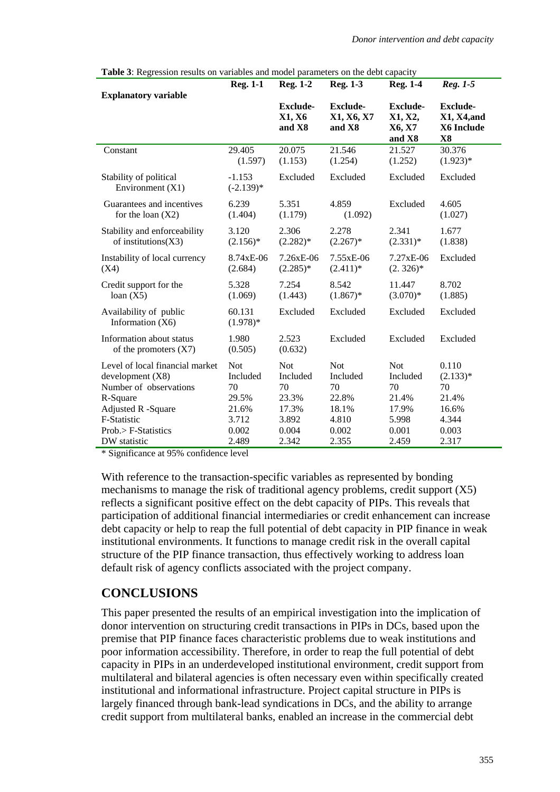| coolon results on variables and moder parameters on the dest capacit | <b>Reg. 1-1</b>         | <b>Reg. 1-2</b>                     | <b>Reg. 1-3</b>                         | <b>Reg. 1-4</b>                                | Reg. 1-5                                           |
|----------------------------------------------------------------------|-------------------------|-------------------------------------|-----------------------------------------|------------------------------------------------|----------------------------------------------------|
| <b>Explanatory variable</b>                                          |                         |                                     |                                         |                                                |                                                    |
|                                                                      |                         | <b>Exclude-</b><br>X1, X6<br>and X8 | <b>Exclude-</b><br>X1, X6, X7<br>and X8 | <b>Exclude-</b><br>X1, X2,<br>X6, X7<br>and X8 | <b>Exclude-</b><br>X1, X4, and<br>X6 Include<br>X8 |
| Constant                                                             | 29.405                  | 20.075                              | 21.546                                  | 21.527                                         | 30.376                                             |
|                                                                      | (1.597)                 | (1.153)                             | (1.254)                                 | (1.252)                                        | $(1.923)*$                                         |
| Stability of political<br>Environment $(X1)$                         | $-1.153$<br>$(-2.139)*$ | Excluded                            | Excluded                                | Excluded                                       | Excluded                                           |
| Guarantees and incentives                                            | 6.239                   | 5.351                               | 4.859                                   | Excluded                                       | 4.605                                              |
| for the loan $(X2)$                                                  | (1.404)                 | (1.179)                             | (1.092)                                 |                                                | (1.027)                                            |
| Stability and enforceability                                         | 3.120                   | 2.306                               | 2.278                                   | 2.341                                          | 1.677                                              |
| of institutions $(X3)$                                               | $(2.156)^*$             | $(2.282)*$                          | $(2.267)^*$                             | $(2.331)*$                                     | (1.838)                                            |
| Instability of local currency                                        | 8.74xE-06               | 7.26xE-06                           | 7.55xE-06                               | 7.27xE-06                                      | Excluded                                           |
| (X4)                                                                 | (2.684)                 | $(2.285)*$                          | $(2.411)*$                              | $(2.326)^*$                                    |                                                    |
| Credit support for the                                               | 5.328                   | 7.254                               | 8.542                                   | 11.447                                         | 8.702                                              |
| loan(X5)                                                             | (1.069)                 | (1.443)                             | $(1.867)^*$                             | $(3.070)*$                                     | (1.885)                                            |
| Availability of public<br>Information $(X6)$                         | 60.131<br>$(1.978)*$    | Excluded                            | Excluded                                | Excluded                                       | Excluded                                           |
| Information about status<br>of the promoters $(X7)$                  | 1.980<br>(0.505)        | 2.523<br>(0.632)                    | Excluded                                | Excluded                                       | Excluded                                           |
| Level of local financial market                                      | <b>Not</b>              | <b>Not</b>                          | <b>Not</b>                              | <b>Not</b>                                     | 0.110                                              |
| development(X8)                                                      | Included                | Included                            | Included                                | Included                                       | $(2.133)*$                                         |
| Number of observations                                               | 70                      | 70                                  | 70                                      | 70                                             | 70                                                 |
| R-Square                                                             | 29.5%                   | 23.3%                               | 22.8%                                   | 21.4%                                          | 21.4%                                              |
| Adjusted R -Square                                                   | 21.6%                   | 17.3%                               | 18.1%                                   | 17.9%                                          | 16.6%                                              |
| F-Statistic                                                          | 3.712                   | 3.892                               | 4.810                                   | 5.998                                          | 4.344                                              |
| Prob.> F-Statistics                                                  | 0.002                   | 0.004                               | 0.002                                   | 0.001                                          | 0.003                                              |
| DW statistic                                                         | 2.489                   | 2.342                               | 2.355                                   | 2.459                                          | 2.317                                              |

|  |  |  | Table 3: Regression results on variables and model parameters on the debt capacity |
|--|--|--|------------------------------------------------------------------------------------|
|  |  |  |                                                                                    |

\* Significance at 95% confidence level

With reference to the transaction-specific variables as represented by bonding mechanisms to manage the risk of traditional agency problems, credit support (X5) reflects a significant positive effect on the debt capacity of PIPs. This reveals that participation of additional financial intermediaries or credit enhancement can increase debt capacity or help to reap the full potential of debt capacity in PIP finance in weak institutional environments. It functions to manage credit risk in the overall capital structure of the PIP finance transaction, thus effectively working to address loan default risk of agency conflicts associated with the project company.

## **CONCLUSIONS**

This paper presented the results of an empirical investigation into the implication of donor intervention on structuring credit transactions in PIPs in DCs, based upon the premise that PIP finance faces characteristic problems due to weak institutions and poor information accessibility. Therefore, in order to reap the full potential of debt capacity in PIPs in an underdeveloped institutional environment, credit support from multilateral and bilateral agencies is often necessary even within specifically created institutional and informational infrastructure. Project capital structure in PIPs is largely financed through bank-lead syndications in DCs, and the ability to arrange credit support from multilateral banks, enabled an increase in the commercial debt